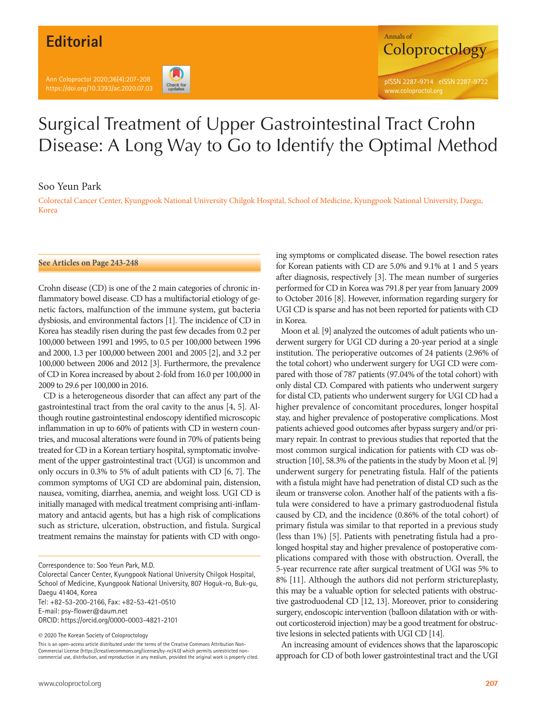# **Editorial**

Ann Coloproctol 2020;36(4):207-208 https://doi.org/10.3393/ac.2020.07.03





# Surgical Treatment of Upper Gastrointestinal Tract Crohn Disease: A Long Way to Go to Identify the Optimal Method

### Soo Yeun Park

Colorectal Cancer Center, Kyungpook National University Chilgok Hospital, School of Medicine, Kyungpook National University, Daegu, Korea

#### **See Articles on Page 243-248**

Crohn disease (CD) is one of the 2 main categories of chronic inflammatory bowel disease. CD has a multifactorial etiology of genetic factors, malfunction of the immune system, gut bacteria dysbiosis, and environmental factors [1]. The incidence of CD in Korea has steadily risen during the past few decades from 0.2 per 100,000 between 1991 and 1995, to 0.5 per 100,000 between 1996 and 2000, 1.3 per 100,000 between 2001 and 2005 [2], and 3.2 per 100,000 between 2006 and 2012 [3]. Furthermore, the prevalence of CD in Korea increased by about 2‐fold from 16.0 per 100,000 in 2009 to 29.6 per 100,000 in 2016.

CD is a heterogeneous disorder that can affect any part of the gastrointestinal tract from the oral cavity to the anus [4, 5]. Although routine gastrointestinal endoscopy identified microscopic inflammation in up to 60% of patients with CD in western countries, and mucosal alterations were found in 70% of patients being treated for CD in a Korean tertiary hospital, symptomatic involvement of the upper gastrointestinal tract (UGI) is uncommon and only occurs in 0.3% to 5% of adult patients with CD [6, 7]. The common symptoms of UGI CD are abdominal pain, distension, nausea, vomiting, diarrhea, anemia, and weight loss. UGI CD is initially managed with medical treatment comprising anti-inflammatory and antacid agents, but has a high risk of complications such as stricture, ulceration, obstruction, and fistula. Surgical treatment remains the mainstay for patients with CD with ongo-

Colorectal Cancer Center, Kyungpook National University Chilgok Hospital, School of Medicine, Kyungpook National University, 807 Hoguk-ro, Buk-gu, Daegu 41404, Korea Tel: +82-53-200-2166, Fax: +82-53-421-0510 E-mail: psy-flower@daum.net

ORCID: https://orcid.org/0000-0003-4821-2101

© 2020 The Korean Society of Coloproctology

This is an open-access article distributed under the terms of the Creative Commons Attribution Non-Commercial License (https://creativecommons.org/licenses/by-nc/4.0) which permits unrestricted noncommercial use, distribution, and reproduction in any medium, provided the original work is properly cited. ing symptoms or complicated disease. The bowel resection rates for Korean patients with CD are 5.0% and 9.1% at 1 and 5 years after diagnosis, respectively [3]. The mean number of surgeries performed for CD in Korea was 791.8 per year from January 2009 to October 2016 [8]. However, information regarding surgery for UGI CD is sparse and has not been reported for patients with CD in Korea.

Moon et al. [9] analyzed the outcomes of adult patients who underwent surgery for UGI CD during a 20-year period at a single institution. The perioperative outcomes of 24 patients (2.96% of the total cohort) who underwent surgery for UGI CD were compared with those of 787 patients (97.04% of the total cohort) with only distal CD. Compared with patients who underwent surgery for distal CD, patients who underwent surgery for UGI CD had a higher prevalence of concomitant procedures, longer hospital stay, and higher prevalence of postoperative complications. Most patients achieved good outcomes after bypass surgery and/or primary repair. In contrast to previous studies that reported that the most common surgical indication for patients with CD was obstruction [10], 58.3% of the patients in the study by Moon et al. [9] underwent surgery for penetrating fistula. Half of the patients with a fistula might have had penetration of distal CD such as the ileum or transverse colon. Another half of the patients with a fistula were considered to have a primary gastroduodenal fistula caused by CD, and the incidence (0.86% of the total cohort) of primary fistula was similar to that reported in a previous study (less than 1%) [5]. Patients with penetrating fistula had a prolonged hospital stay and higher prevalence of postoperative complications compared with those with obstruction. Overall, the 5-year recurrence rate after surgical treatment of UGI was 5% to 8% [11]. Although the authors did not perform strictureplasty, this may be a valuable option for selected patients with obstructive gastroduodenal CD [12, 13]. Moreover, prior to considering surgery, endoscopic intervention (balloon dilatation with or without corticosteroid injection) may be a good treatment for obstructive lesions in selected patients with UGI CD [14].

An increasing amount of evidences shows that the laparoscopic approach for CD of both lower gastrointestinal tract and the UGI

Correspondence to: Soo Yeun Park, M.D.